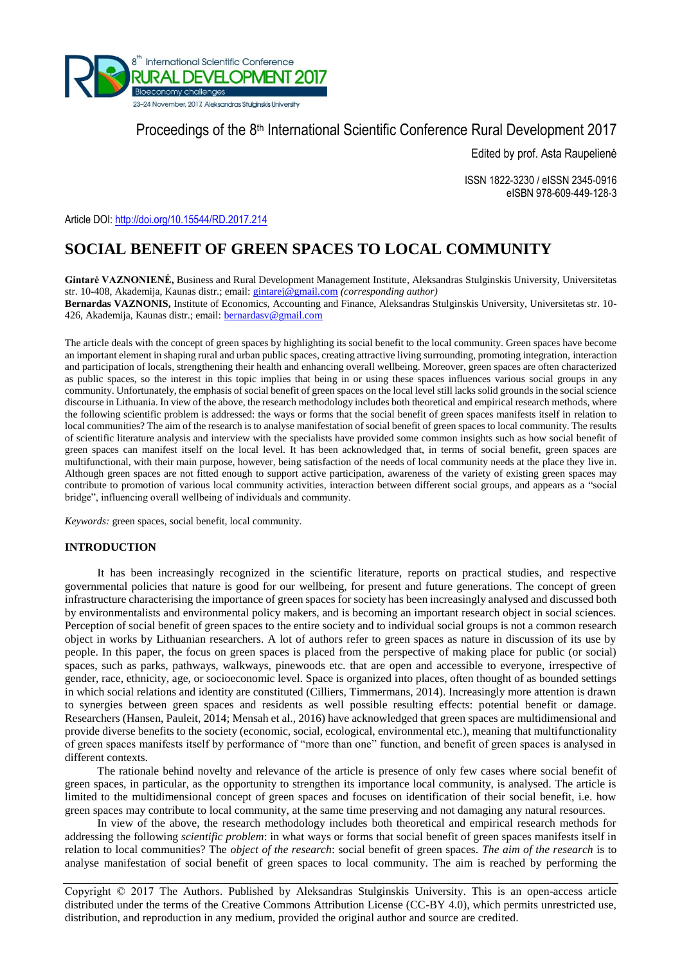

Proceedings of the 8<sup>th</sup> International Scientific Conference Rural Development 2017

Edited by prof. Asta Raupelienė

ISSN 1822-3230 / eISSN 2345-0916 eISBN 978-609-449-128-3

Article DOI:<http://doi.org/10.15544/RD.2017.214>

# **SOCIAL BENEFIT OF GREEN SPACES TO LOCAL COMMUNITY**

**Gintarė VAZNONIENĖ,** Business and Rural Development Management Institute, Aleksandras Stulginskis University, Universitetas str. 10-408, Akademija, Kaunas distr.; email: [gintarej@gmail.com](mailto:gintarej@gmail.com) *(corresponding author)* **Bernardas VAZNONIS,** Institute of Economics, Accounting and Finance, Aleksandras Stulginskis University, Universitetas str. 10-

426, Akademija, Kaunas distr.; email[: bernardasv@gmail.com](mailto:bernardasv@gmail.com)

The article deals with the concept of green spaces by highlighting its social benefit to the local community. Green spaces have become an important element in shaping rural and urban public spaces, creating attractive living surrounding, promoting integration, interaction and participation of locals, strengthening their health and enhancing overall wellbeing. Moreover, green spaces are often characterized as public spaces, so the interest in this topic implies that being in or using these spaces influences various social groups in any community. Unfortunately, the emphasis of social benefit of green spaces on the local level still lacks solid grounds in the social science discourse in Lithuania. In view of the above, the research methodology includes both theoretical and empirical research methods, where the following scientific problem is addressed: the ways or forms that the social benefit of green spaces manifests itself in relation to local communities? The aim of the research is to analyse manifestation of social benefit of green spaces to local community. The results of scientific literature analysis and interview with the specialists have provided some common insights such as how social benefit of green spaces can manifest itself on the local level. It has been acknowledged that, in terms of social benefit, green spaces are multifunctional, with their main purpose, however, being satisfaction of the needs of local community needs at the place they live in. Although green spaces are not fitted enough to support active participation, awareness of the variety of existing green spaces may contribute to promotion of various local community activities, interaction between different social groups, and appears as a "social bridge", influencing overall wellbeing of individuals and community.

*Keywords:* green spaces, social benefit, local community.

## **INTRODUCTION**

It has been increasingly recognized in the scientific literature, reports on practical studies, and respective governmental policies that nature is good for our wellbeing, for present and future generations. The concept of green infrastructure characterising the importance of green spaces for society has been increasingly analysed and discussed both by environmentalists and environmental policy makers, and is becoming an important research object in social sciences. Perception of social benefit of green spaces to the entire society and to individual social groups is not a common research object in works by Lithuanian researchers. A lot of authors refer to green spaces as nature in discussion of its use by people. In this paper, the focus on green spaces is placed from the perspective of making place for public (or social) spaces, such as parks, pathways, walkways, pinewoods etc. that are open and accessible to everyone, irrespective of gender, race, ethnicity, age, or socioeconomic level. Space is organized into places, often thought of as bounded settings in which social relations and identity are constituted (Cilliers, Timmermans, 2014). Increasingly more attention is drawn to synergies between green spaces and residents as well possible resulting effects: potential benefit or damage. Researchers (Hansen, Pauleit, 2014; Mensah et al., 2016) have acknowledged that green spaces are multidimensional and provide diverse benefits to the society (economic, social, ecological, environmental etc.), meaning that multifunctionality of green spaces manifests itself by performance of "more than one" function, and benefit of green spaces is analysed in different contexts.

The rationale behind novelty and relevance of the article is presence of only few cases where social benefit of green spaces, in particular, as the opportunity to strengthen its importance local community, is analysed. The article is limited to the multidimensional concept of green spaces and focuses on identification of their social benefit, i.e. how green spaces may contribute to local community, at the same time preserving and not damaging any natural resources.

In view of the above, the research methodology includes both theoretical and empirical research methods for addressing the following *scientific problem*: in what ways or forms that social benefit of green spaces manifests itself in relation to local communities? The *object of the research*: social benefit of green spaces. *The aim of the research* is to analyse manifestation of social benefit of green spaces to local community. The aim is reached by performing the

Copyright © 2017 The Authors. Published by Aleksandras Stulginskis University. This is an open-access article distributed under the terms of the Creative Commons Attribution License (CC-BY 4.0), which permits unrestricted use, distribution, and reproduction in any medium, provided the original author and source are credited.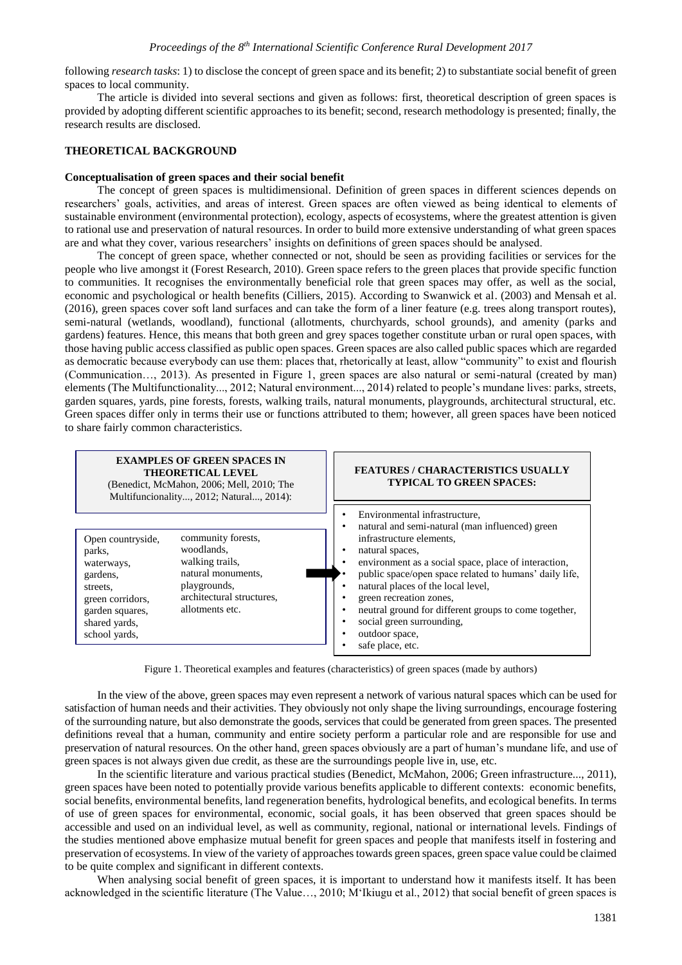following *research tasks*: 1) to disclose the concept of green space and its benefit; 2) to substantiate social benefit of green spaces to local community.

The article is divided into several sections and given as follows: first, theoretical description of green spaces is provided by adopting different scientific approaches to its benefit; second, research methodology is presented; finally, the research results are disclosed.

## **THEORETICAL BACKGROUND**

#### **Conceptualisation of green spaces and their social benefit**

The concept of green spaces is multidimensional. Definition of green spaces in different sciences depends on researchers' goals, activities, and areas of interest. Green spaces are often viewed as being identical to elements of sustainable environment (environmental protection), ecology, aspects of ecosystems, where the greatest attention is given to rational use and preservation of natural resources. In order to build more extensive understanding of what green spaces are and what they cover, various researchers' insights on definitions of green spaces should be analysed.

The concept of green space, whether connected or not, should be seen as providing facilities or services for the people who live amongst it (Forest Research, 2010). Green space refers to the green places that provide specific function to communities. It recognises the environmentally beneficial role that green spaces may offer, as well as the social, economic and psychological or health benefits (Cilliers, 2015). According to Swanwick et al. (2003) and Mensah et al. (2016), green spaces cover soft land surfaces and can take the form of a liner feature (e.g. trees along transport routes), semi-natural (wetlands, woodland), functional (allotments, churchyards, school grounds), and amenity (parks and gardens) features. Hence, this means that both green and grey spaces together constitute urban or rural open spaces, with those having public access classified as public open spaces. Green spaces are also called public spaces which are regarded as democratic because everybody can use them: places that, rhetorically at least, allow "community" to exist and flourish (Communication..., 2013). As presented in Figure 1, green spaces are also natural or semi-natural (created by man) elements (The Multifunctionality..., 2012; Natural environment..., 2014) related to people's mundane lives: parks, streets, garden squares, yards, pine forests, forests, walking trails, natural monuments, playgrounds, architectural structural, etc. Green spaces differ only in terms their use or functions attributed to them; however, all green spaces have been noticed to share fairly common characteristics.



Figure 1. Theoretical examples and features (characteristics) of green spaces (made by authors)

In the view of the above, green spaces may even represent a network of various natural spaces which can be used for satisfaction of human needs and their activities. They obviously not only shape the living surroundings, encourage fostering of the surrounding nature, but also demonstrate the goods, services that could be generated from green spaces. The presented definitions reveal that a human, community and entire society perform a particular role and are responsible for use and preservation of natural resources. On the other hand, green spaces obviously are a part of human's mundane life, and use of green spaces is not always given due credit, as these are the surroundings people live in, use, etc.

In the scientific literature and various practical studies (Benedict, McMahon, 2006; Green infrastructure..., 2011), green spaces have been noted to potentially provide various benefits applicable to different contexts: economic benefits, social benefits, environmental benefits, land regeneration benefits, hydrological benefits, and ecological benefits. In terms of use of green spaces for environmental, economic, social goals, it has been observed that green spaces should be accessible and used on an individual level, as well as community, regional, national or international levels. Findings of the studies mentioned above emphasize mutual benefit for green spaces and people that manifests itself in fostering and preservation of ecosystems. In view of the variety of approaches towards green spaces, green space value could be claimed to be quite complex and significant in different contexts.

When analysing social benefit of green spaces, it is important to understand how it manifests itself. It has been acknowledged in the scientific literature (The Value…, 2010; M'Ikiugu et al., 2012) that social benefit of green spaces is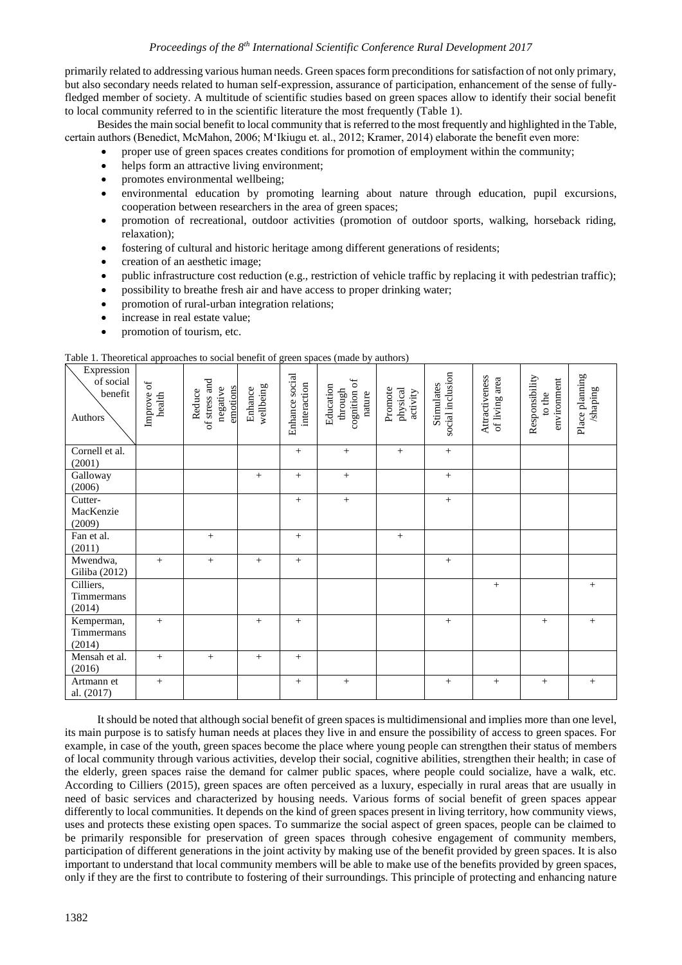primarily related to addressing various human needs. Green spaces form preconditions for satisfaction of not only primary, but also secondary needs related to human self-expression, assurance of participation, enhancement of the sense of fullyfledged member of society. A multitude of scientific studies based on green spaces allow to identify their social benefit to local community referred to in the scientific literature the most frequently (Table 1).

Besides the main social benefit to local community that is referred to the most frequently and highlighted in the Table, certain authors (Benedict, McMahon, 2006; M'Ikiugu et. al., 2012; Kramer, 2014) elaborate the benefit even more:

- proper use of green spaces creates conditions for promotion of employment within the community;
- helps form an attractive living environment;
- promotes environmental wellbeing;
- environmental education by promoting learning about nature through education, pupil excursions, cooperation between researchers in the area of green spaces;
- promotion of recreational, outdoor activities (promotion of outdoor sports, walking, horseback riding, relaxation);
- fostering of cultural and historic heritage among different generations of residents;
- creation of an aesthetic image;
- public infrastructure cost reduction (e.g., restriction of vehicle traffic by replacing it with pedestrian traffic);
- possibility to breathe fresh air and have access to proper drinking water;
- promotion of rural-urban integration relations;
- increase in real estate value;
- promotion of tourism, etc.

Table 1. Theoretical approaches to social benefit of green spaces (made by authors)

| Expression<br>of social<br>benefit<br>Authors | $\sigma$<br>Improve<br>health | of stress and<br>emotions<br>negative<br>Reduce | wellbeing<br>Enhance | social<br>interaction<br>Enhance | cognition of<br>Education<br>through<br>nature | Promote<br>physical<br>activity | social inclusion<br>Stimulates | Attractiveness<br>of living area | Responsibility<br>environment<br>to the | Place planning<br>shaping |
|-----------------------------------------------|-------------------------------|-------------------------------------------------|----------------------|----------------------------------|------------------------------------------------|---------------------------------|--------------------------------|----------------------------------|-----------------------------------------|---------------------------|
| Cornell et al.<br>(2001)                      |                               |                                                 |                      | $+$                              | $+$                                            | $^{+}$                          | $+$                            |                                  |                                         |                           |
| Galloway<br>(2006)                            |                               |                                                 | $+$                  | $+$                              | $^{+}$                                         |                                 | $+$                            |                                  |                                         |                           |
| Cutter-<br>MacKenzie<br>(2009)                |                               |                                                 |                      | $+$                              | $+$                                            |                                 | $+$                            |                                  |                                         |                           |
| Fan et al.<br>(2011)                          |                               | $+$                                             |                      | $^{+}$                           |                                                | $^{+}$                          |                                |                                  |                                         |                           |
| Mwendwa,<br>Giliba (2012)                     | $+$                           | $+$                                             | $+$                  | $+$                              |                                                |                                 | $^{+}$                         |                                  |                                         |                           |
| Cilliers,<br>Timmermans<br>(2014)             |                               |                                                 |                      |                                  |                                                |                                 |                                | $^{+}$                           |                                         | $^{+}$                    |
| Kemperman,<br>Timmermans<br>(2014)            | $+$                           |                                                 | $+$                  | $+$                              |                                                |                                 | $+$                            |                                  | $^{+}$                                  | $+$                       |
| Mensah et al.<br>(2016)                       | $+$                           | $^{+}$                                          | $+$                  | $+$                              |                                                |                                 |                                |                                  |                                         |                           |
| Artmann et<br>al. (2017)                      | $^{+}$                        |                                                 |                      | $+$                              | $+$                                            |                                 | $+$                            | $+$                              | $^{+}$                                  | $\! +$                    |

It should be noted that although social benefit of green spaces is multidimensional and implies more than one level, its main purpose is to satisfy human needs at places they live in and ensure the possibility of access to green spaces. For example, in case of the youth, green spaces become the place where young people can strengthen their status of members of local community through various activities, develop their social, cognitive abilities, strengthen their health; in case of the elderly, green spaces raise the demand for calmer public spaces, where people could socialize, have a walk, etc. According to Cilliers (2015), green spaces are often perceived as a luxury, especially in rural areas that are usually in need of basic services and characterized by housing needs. Various forms of social benefit of green spaces appear differently to local communities. It depends on the kind of green spaces present in living territory, how community views, uses and protects these existing open spaces. To summarize the social aspect of green spaces, people can be claimed to be primarily responsible for preservation of green spaces through cohesive engagement of community members, participation of different generations in the joint activity by making use of the benefit provided by green spaces. It is also important to understand that local community members will be able to make use of the benefits provided by green spaces, only if they are the first to contribute to fostering of their surroundings. This principle of protecting and enhancing nature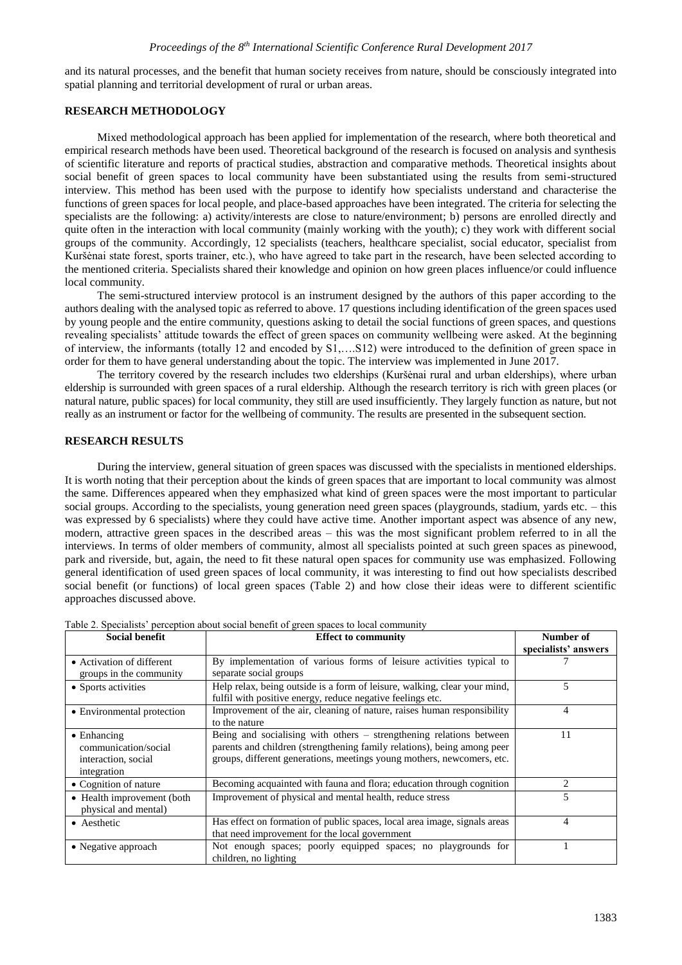and its natural processes, and the benefit that human society receives from nature, should be consciously integrated into spatial planning and territorial development of rural or urban areas.

#### **RESEARCH METHODOLOGY**

Mixed methodological approach has been applied for implementation of the research, where both theoretical and empirical research methods have been used. Theoretical background of the research is focused on analysis and synthesis of scientific literature and reports of practical studies, abstraction and comparative methods. Theoretical insights about social benefit of green spaces to local community have been substantiated using the results from semi-structured interview. This method has been used with the purpose to identify how specialists understand and characterise the functions of green spaces for local people, and place-based approaches have been integrated. The criteria for selecting the specialists are the following: a) activity/interests are close to nature/environment; b) persons are enrolled directly and quite often in the interaction with local community (mainly working with the youth); c) they work with different social groups of the community. Accordingly, 12 specialists (teachers, healthcare specialist, social educator, specialist from Kuršėnai state forest, sports trainer, etc.), who have agreed to take part in the research, have been selected according to the mentioned criteria. Specialists shared their knowledge and opinion on how green places influence/or could influence local community.

The semi-structured interview protocol is an instrument designed by the authors of this paper according to the authors dealing with the analysed topic as referred to above. 17 questions including identification of the green spaces used by young people and the entire community, questions asking to detail the social functions of green spaces, and questions revealing specialists' attitude towards the effect of green spaces on community wellbeing were asked. At the beginning of interview, the informants (totally 12 and encoded by S1,….S12) were introduced to the definition of green space in order for them to have general understanding about the topic. The interview was implemented in June 2017.

The territory covered by the research includes two elderships (Kuršėnai rural and urban elderships), where urban eldership is surrounded with green spaces of a rural eldership. Although the research territory is rich with green places (or natural nature, public spaces) for local community, they still are used insufficiently. They largely function as nature, but not really as an instrument or factor for the wellbeing of community. The results are presented in the subsequent section.

## **RESEARCH RESULTS**

During the interview, general situation of green spaces was discussed with the specialists in mentioned elderships. It is worth noting that their perception about the kinds of green spaces that are important to local community was almost the same. Differences appeared when they emphasized what kind of green spaces were the most important to particular social groups. According to the specialists, young generation need green spaces (playgrounds, stadium, yards etc. – this was expressed by 6 specialists) where they could have active time. Another important aspect was absence of any new, modern, attractive green spaces in the described areas – this was the most significant problem referred to in all the interviews. In terms of older members of community, almost all specialists pointed at such green spaces as pinewood, park and riverside, but, again, the need to fit these natural open spaces for community use was emphasized. Following general identification of used green spaces of local community, it was interesting to find out how specialists described social benefit (or functions) of local green spaces (Table 2) and how close their ideas were to different scientific approaches discussed above.

| Social benefit             | <b>Effect to community</b>                                                | Number of                     |
|----------------------------|---------------------------------------------------------------------------|-------------------------------|
|                            |                                                                           | specialists' answers          |
| • Activation of different  | By implementation of various forms of leisure activities typical to       |                               |
| groups in the community    | separate social groups                                                    |                               |
| • Sports activities        | Help relax, being outside is a form of leisure, walking, clear your mind, | 5                             |
|                            | fulfil with positive energy, reduce negative feelings etc.                |                               |
| • Environmental protection | Improvement of the air, cleaning of nature, raises human responsibility   | 4                             |
|                            | to the nature                                                             |                               |
| $\bullet$ Enhancing        | Being and socialising with others – strengthening relations between       | 11                            |
| communication/social       | parents and children (strengthening family relations), being among peer   |                               |
| interaction, social        | groups, different generations, meetings young mothers, newcomers, etc.    |                               |
| integration                |                                                                           |                               |
| • Cognition of nature      | Becoming acquainted with fauna and flora; education through cognition     | $\mathfrak{D}_{\mathfrak{p}}$ |
| • Health improvement (both | Improvement of physical and mental health, reduce stress                  | 5                             |
| physical and mental)       |                                                                           |                               |
| • Aesthetic                | Has effect on formation of public spaces, local area image, signals areas | 4                             |
|                            | that need improvement for the local government                            |                               |
| • Negative approach        | Not enough spaces; poorly equipped spaces; no playgrounds for             |                               |
|                            | children, no lighting                                                     |                               |

Table 2. Specialists' perception about social benefit of green spaces to local community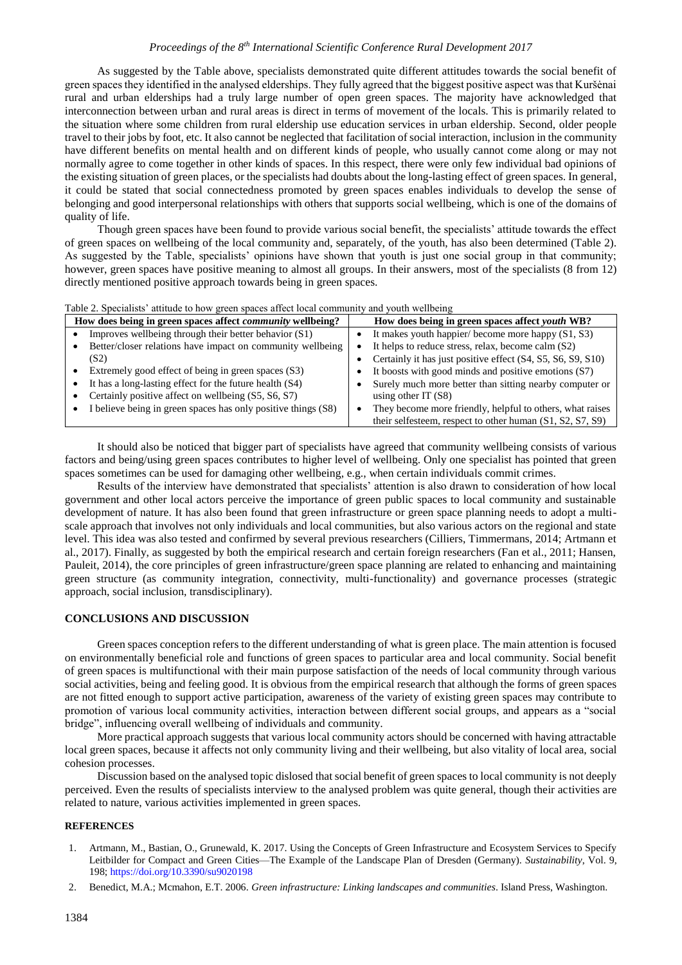## *Proceedings of the 8th International Scientific Conference Rural Development 2017*

As suggested by the Table above, specialists demonstrated quite different attitudes towards the social benefit of green spaces they identified in the analysed elderships. They fully agreed that the biggest positive aspect was that Kuršėnai rural and urban elderships had a truly large number of open green spaces. The majority have acknowledged that interconnection between urban and rural areas is direct in terms of movement of the locals. This is primarily related to the situation where some children from rural eldership use education services in urban eldership. Second, older people travel to their jobs by foot, etc. It also cannot be neglected that facilitation of social interaction, inclusion in the community have different benefits on mental health and on different kinds of people, who usually cannot come along or may not normally agree to come together in other kinds of spaces. In this respect, there were only few individual bad opinions of the existing situation of green places, or the specialists had doubts about the long-lasting effect of green spaces. In general, it could be stated that social connectedness promoted by green spaces enables individuals to develop the sense of belonging and good interpersonal relationships with others that supports social wellbeing, which is one of the domains of quality of life.

Though green spaces have been found to provide various social benefit, the specialists' attitude towards the effect of green spaces on wellbeing of the local community and, separately, of the youth, has also been determined (Table 2). As suggested by the Table, specialists' opinions have shown that youth is just one social group in that community; however, green spaces have positive meaning to almost all groups. In their answers, most of the specialists (8 from 12) directly mentioned positive approach towards being in green spaces.

| Table 2. Specialists attitude to now green spaces affect local community and youth wellbeing |                                                               |  |                                                             |  |  |  |
|----------------------------------------------------------------------------------------------|---------------------------------------------------------------|--|-------------------------------------------------------------|--|--|--|
| How does being in green spaces affect <i>community</i> wellbeing?                            |                                                               |  | How does being in green spaces affect youth WB?             |  |  |  |
|                                                                                              | Improves wellbeing through their better behavior (S1)         |  | It makes youth happier/ become more happy (S1, S3)          |  |  |  |
|                                                                                              | Better/closer relations have impact on community wellbeing    |  | It helps to reduce stress, relax, become calm (S2)          |  |  |  |
|                                                                                              | (S2)                                                          |  | Certainly it has just positive effect (S4, S5, S6, S9, S10) |  |  |  |
|                                                                                              | Extremely good effect of being in green spaces (S3)           |  | It boosts with good minds and positive emotions (S7)        |  |  |  |
|                                                                                              | It has a long-lasting effect for the future health (S4)       |  | Surely much more better than sitting nearby computer or     |  |  |  |
|                                                                                              | Certainly positive affect on wellbeing (S5, S6, S7)           |  | using other IT $(S8)$                                       |  |  |  |
|                                                                                              | I believe being in green spaces has only positive things (S8) |  | They become more friendly, helpful to others, what raises   |  |  |  |
|                                                                                              |                                                               |  | their selfesteem, respect to other human $(S1, S2, S7, S9)$ |  |  |  |

Table 2. Specialists' attitude to how green spaces affect local community and youth wellbeing

It should also be noticed that bigger part of specialists have agreed that community wellbeing consists of various factors and being/using green spaces contributes to higher level of wellbeing. Only one specialist has pointed that green spaces sometimes can be used for damaging other wellbeing, e.g., when certain individuals commit crimes.

Results of the interview have demonstrated that specialists' attention is also drawn to consideration of how local government and other local actors perceive the importance of green public spaces to local community and sustainable development of nature. It has also been found that green infrastructure or green space planning needs to adopt a multiscale approach that involves not only individuals and local communities, but also various actors on the regional and state level. This idea was also tested and confirmed by several previous researchers (Cilliers, Timmermans, 2014; Artmann et al., 2017). Finally, as suggested by both the empirical research and certain foreign researchers (Fan et al., 2011; Hansen, Pauleit, 2014), the core principles of green infrastructure/green space planning are related to enhancing and maintaining green structure (as community integration, connectivity, multi-functionality) and governance processes (strategic approach, social inclusion, transdisciplinary).

#### **CONCLUSIONS AND DISCUSSION**

Green spaces conception refers to the different understanding of what is green place. The main attention is focused on environmentally beneficial role and functions of green spaces to particular area and local community. Social benefit of green spaces is multifunctional with their main purpose satisfaction of the needs of local community through various social activities, being and feeling good. It is obvious from the empirical research that although the forms of green spaces are not fitted enough to support active participation, awareness of the variety of existing green spaces may contribute to promotion of various local community activities, interaction between different social groups, and appears as a "social bridge", influencing overall wellbeing of individuals and community.

More practical approach suggests that various local community actors should be concerned with having attractable local green spaces, because it affects not only community living and their wellbeing, but also vitality of local area, social cohesion processes.

Discussion based on the analysed topic dislosed that social benefit of green spaces to local community is not deeply perceived. Even the results of specialists interview to the analysed problem was quite general, though their activities are related to nature, various activities implemented in green spaces.

### **REFERENCES**

- 1. Artmann, M., Bastian, O., Grunewald, K. 2017. Using the Concepts of Green Infrastructure and Ecosystem Services to Specify Leitbilder for Compact and Green Cities—The Example of the Landscape Plan of Dresden (Germany). *Sustainability*, Vol. 9, 198;<https://doi.org/10.3390/su9020198>
- 2. Benedict, M.A.; Mcmahon, E.T. 2006. *Green infrastructure: Linking landscapes and communities*. Island Press, Washington.